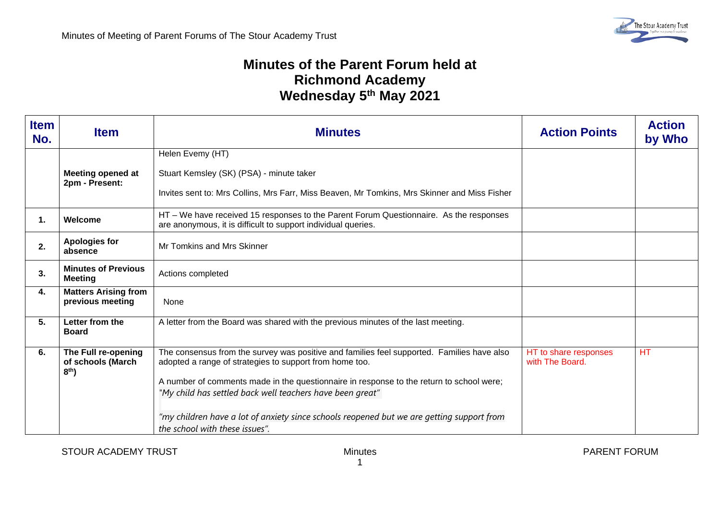## **Minutes of the Parent Forum held at Richmond Academy Wednesday 5th May 2021**

| <b>Item</b><br>No. | <b>Item</b>                                                 | <b>Minutes</b>                                                                                                                                                                                                                                                                                                                                                                                                                                | <b>Action Points</b>                     | <b>Action</b><br>by Who |
|--------------------|-------------------------------------------------------------|-----------------------------------------------------------------------------------------------------------------------------------------------------------------------------------------------------------------------------------------------------------------------------------------------------------------------------------------------------------------------------------------------------------------------------------------------|------------------------------------------|-------------------------|
|                    | <b>Meeting opened at</b><br>2pm - Present:                  | Helen Evemy (HT)<br>Stuart Kemsley (SK) (PSA) - minute taker<br>Invites sent to: Mrs Collins, Mrs Farr, Miss Beaven, Mr Tomkins, Mrs Skinner and Miss Fisher                                                                                                                                                                                                                                                                                  |                                          |                         |
| 1.                 | Welcome                                                     | HT – We have received 15 responses to the Parent Forum Questionnaire. As the responses<br>are anonymous, it is difficult to support individual queries.                                                                                                                                                                                                                                                                                       |                                          |                         |
| 2.                 | <b>Apologies for</b><br>absence                             | Mr Tomkins and Mrs Skinner                                                                                                                                                                                                                                                                                                                                                                                                                    |                                          |                         |
| 3.                 | <b>Minutes of Previous</b><br><b>Meeting</b>                | Actions completed                                                                                                                                                                                                                                                                                                                                                                                                                             |                                          |                         |
| 4.                 | <b>Matters Arising from</b><br>previous meeting             | None                                                                                                                                                                                                                                                                                                                                                                                                                                          |                                          |                         |
| 5.                 | Letter from the<br><b>Board</b>                             | A letter from the Board was shared with the previous minutes of the last meeting.                                                                                                                                                                                                                                                                                                                                                             |                                          |                         |
| 6.                 | The Full re-opening<br>of schools (March<br>8 <sup>th</sup> | The consensus from the survey was positive and families feel supported. Families have also<br>adopted a range of strategies to support from home too.<br>A number of comments made in the questionnaire in response to the return to school were;<br>"My child has settled back well teachers have been great"<br>"my children have a lot of anxiety since schools reopened but we are getting support from<br>the school with these issues". | HT to share responses<br>with The Board. | <b>HT</b>               |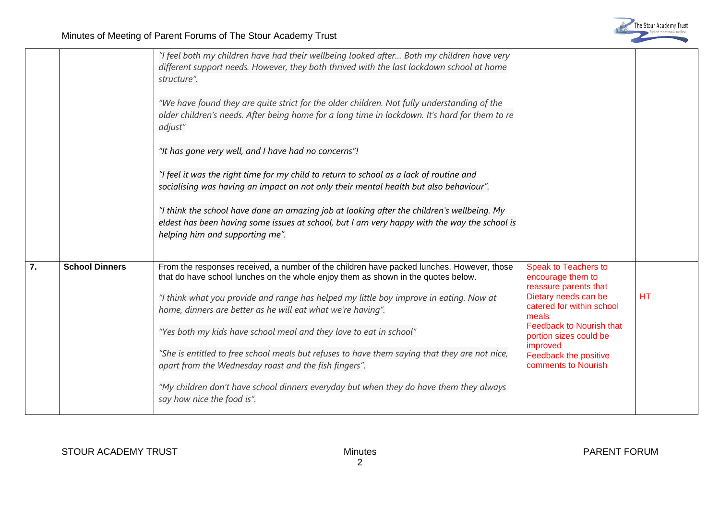|    |                       | "I feel both my children have had their wellbeing looked after Both my children have very<br>different support needs. However, they both thrived with the last lockdown school at home<br>structure".<br>"We have found they are quite strict for the older children. Not fully understanding of the<br>older children's needs. After being home for a long time in lockdown. It's hard for them to re<br>adjust"<br>"It has gone very well, and I have had no concerns"!<br>"I feel it was the right time for my child to return to school as a lack of routine and<br>socialising was having an impact on not only their mental health but also behaviour".<br>"I think the school have done an amazing job at looking after the children's wellbeing. My<br>eldest has been having some issues at school, but I am very happy with the way the school is<br>helping him and supporting me". |                                                                                                                                                                                                                                                                  |           |
|----|-----------------------|------------------------------------------------------------------------------------------------------------------------------------------------------------------------------------------------------------------------------------------------------------------------------------------------------------------------------------------------------------------------------------------------------------------------------------------------------------------------------------------------------------------------------------------------------------------------------------------------------------------------------------------------------------------------------------------------------------------------------------------------------------------------------------------------------------------------------------------------------------------------------------------------|------------------------------------------------------------------------------------------------------------------------------------------------------------------------------------------------------------------------------------------------------------------|-----------|
| 7. | <b>School Dinners</b> | From the responses received, a number of the children have packed lunches. However, those<br>that do have school lunches on the whole enjoy them as shown in the quotes below.<br>"I think what you provide and range has helped my little boy improve in eating. Now at<br>home, dinners are better as he will eat what we're having".<br>"Yes both my kids have school meal and they love to eat in school"<br>"She is entitled to free school meals but refuses to have them saying that they are not nice,<br>apart from the Wednesday roast and the fish fingers".<br>"My children don't have school dinners everyday but when they do have them they always<br>say how nice the food is".                                                                                                                                                                                                | <b>Speak to Teachers to</b><br>encourage them to<br>reassure parents that<br>Dietary needs can be<br>catered for within school<br>meals<br><b>Feedback to Nourish that</b><br>portion sizes could be<br>improved<br>Feedback the positive<br>comments to Nourish | <b>HT</b> |